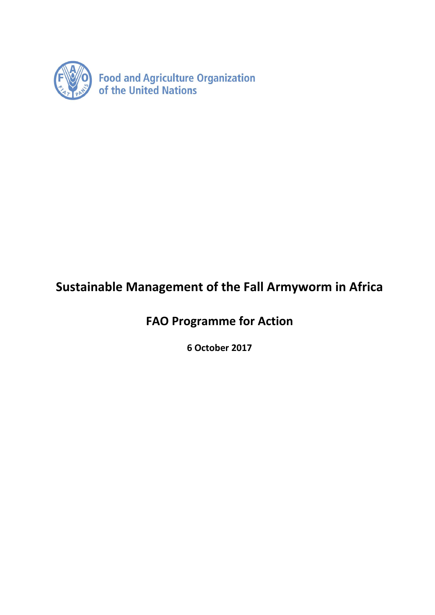

# **Sustainable Management of the Fall Armyworm in Africa**

**FAO Programme for Action**

**6 October 2017**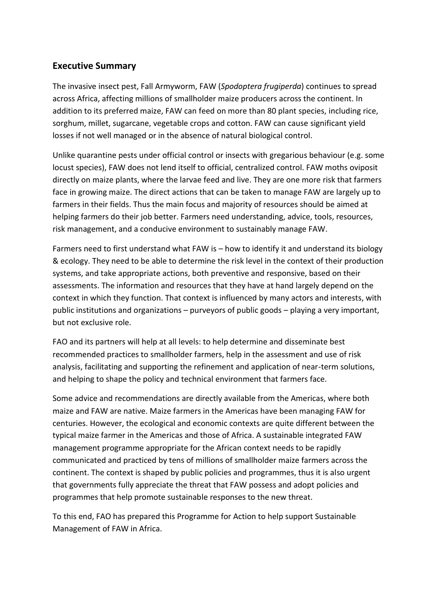## **Executive Summary**

The invasive insect pest, Fall Armyworm, FAW (*Spodoptera frugiperda*) continues to spread across Africa, affecting millions of smallholder maize producers across the continent. In addition to its preferred maize, FAW can feed on more than 80 plant species, including rice, sorghum, millet, sugarcane, vegetable crops and cotton. FAW can cause significant yield losses if not well managed or in the absence of natural biological control.

Unlike quarantine pests under official control or insects with gregarious behaviour (e.g. some locust species), FAW does not lend itself to official, centralized control. FAW moths oviposit directly on maize plants, where the larvae feed and live. They are one more risk that farmers face in growing maize. The direct actions that can be taken to manage FAW are largely up to farmers in their fields. Thus the main focus and majority of resources should be aimed at helping farmers do their job better. Farmers need understanding, advice, tools, resources, risk management, and a conducive environment to sustainably manage FAW.

Farmers need to first understand what FAW is – how to identify it and understand its biology & ecology. They need to be able to determine the risk level in the context of their production systems, and take appropriate actions, both preventive and responsive, based on their assessments. The information and resources that they have at hand largely depend on the context in which they function. That context is influenced by many actors and interests, with public institutions and organizations – purveyors of public goods – playing a very important, but not exclusive role.

FAO and its partners will help at all levels: to help determine and disseminate best recommended practices to smallholder farmers, help in the assessment and use of risk analysis, facilitating and supporting the refinement and application of near-term solutions, and helping to shape the policy and technical environment that farmers face.

Some advice and recommendations are directly available from the Americas, where both maize and FAW are native. Maize farmers in the Americas have been managing FAW for centuries. However, the ecological and economic contexts are quite different between the typical maize farmer in the Americas and those of Africa. A sustainable integrated FAW management programme appropriate for the African context needs to be rapidly communicated and practiced by tens of millions of smallholder maize farmers across the continent. The context is shaped by public policies and programmes, thus it is also urgent that governments fully appreciate the threat that FAW possess and adopt policies and programmes that help promote sustainable responses to the new threat.

To this end, FAO has prepared this Programme for Action to help support Sustainable Management of FAW in Africa.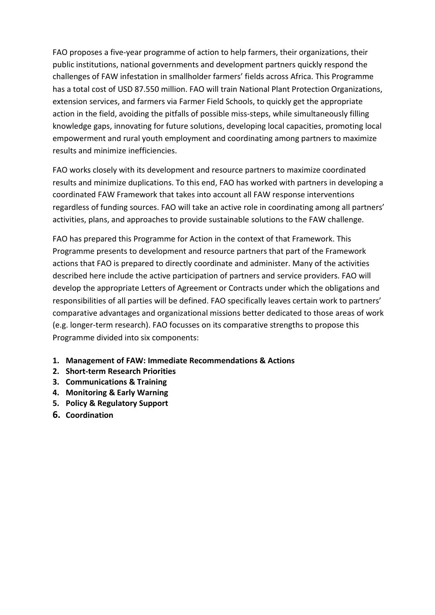FAO proposes a five-year programme of action to help farmers, their organizations, their public institutions, national governments and development partners quickly respond the challenges of FAW infestation in smallholder farmers' fields across Africa. This Programme has a total cost of USD 87.550 million. FAO will train National Plant Protection Organizations, extension services, and farmers via Farmer Field Schools, to quickly get the appropriate action in the field, avoiding the pitfalls of possible miss-steps, while simultaneously filling knowledge gaps, innovating for future solutions, developing local capacities, promoting local empowerment and rural youth employment and coordinating among partners to maximize results and minimize inefficiencies.

FAO works closely with its development and resource partners to maximize coordinated results and minimize duplications. To this end, FAO has worked with partners in developing a coordinated FAW Framework that takes into account all FAW response interventions regardless of funding sources. FAO will take an active role in coordinating among all partners' activities, plans, and approaches to provide sustainable solutions to the FAW challenge.

FAO has prepared this Programme for Action in the context of that Framework. This Programme presents to development and resource partners that part of the Framework actions that FAO is prepared to directly coordinate and administer. Many of the activities described here include the active participation of partners and service providers. FAO will develop the appropriate Letters of Agreement or Contracts under which the obligations and responsibilities of all parties will be defined. FAO specifically leaves certain work to partners' comparative advantages and organizational missions better dedicated to those areas of work (e.g. longer-term research). FAO focusses on its comparative strengths to propose this Programme divided into six components:

- **1. Management of FAW: Immediate Recommendations & Actions**
- **2. Short-term Research Priorities**
- **3. Communications & Training**
- **4. Monitoring & Early Warning**
- **5. Policy & Regulatory Support**
- **6. Coordination**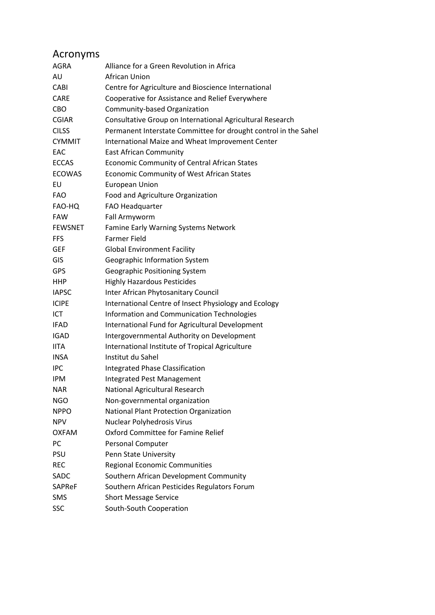| Acronyms       |                                                                 |
|----------------|-----------------------------------------------------------------|
| <b>AGRA</b>    | Alliance for a Green Revolution in Africa                       |
| AU             | African Union                                                   |
| CABI           | Centre for Agriculture and Bioscience International             |
| <b>CARE</b>    | Cooperative for Assistance and Relief Everywhere                |
| CBO            | Community-based Organization                                    |
| <b>CGIAR</b>   | Consultative Group on International Agricultural Research       |
| <b>CILSS</b>   | Permanent Interstate Committee for drought control in the Sahel |
| <b>CYMMIT</b>  | International Maize and Wheat Improvement Center                |
| EAC            | <b>East African Community</b>                                   |
| <b>ECCAS</b>   | Economic Community of Central African States                    |
| <b>ECOWAS</b>  | <b>Economic Community of West African States</b>                |
| EU             | European Union                                                  |
| <b>FAO</b>     | Food and Agriculture Organization                               |
| FAO-HQ         | FAO Headquarter                                                 |
| <b>FAW</b>     | Fall Armyworm                                                   |
| <b>FEWSNET</b> | Famine Early Warning Systems Network                            |
| <b>FFS</b>     | <b>Farmer Field</b>                                             |
| <b>GEF</b>     | <b>Global Environment Facility</b>                              |
| GIS            | Geographic Information System                                   |
| <b>GPS</b>     | Geographic Positioning System                                   |
| <b>HHP</b>     | <b>Highly Hazardous Pesticides</b>                              |
| <b>IAPSC</b>   | Inter African Phytosanitary Council                             |
| <b>ICIPE</b>   | International Centre of Insect Physiology and Ecology           |
| ICT            | Information and Communication Technologies                      |
| <b>IFAD</b>    | International Fund for Agricultural Development                 |
| <b>IGAD</b>    | Intergovernmental Authority on Development                      |
| <b>IITA</b>    | International Institute of Tropical Agriculture                 |
| <b>INSA</b>    | Institut du Sahel                                               |
| <b>IPC</b>     | Integrated Phase Classification                                 |
| <b>IPM</b>     | <b>Integrated Pest Management</b>                               |
| <b>NAR</b>     | National Agricultural Research                                  |
| <b>NGO</b>     | Non-governmental organization                                   |
| <b>NPPO</b>    | National Plant Protection Organization                          |
| <b>NPV</b>     | Nuclear Polyhedrosis Virus                                      |
| <b>OXFAM</b>   | Oxford Committee for Famine Relief                              |
| PC             | Personal Computer                                               |
| PSU            | Penn State University                                           |
| <b>REC</b>     | Regional Economic Communities                                   |
| SADC           | Southern African Development Community                          |
| <b>SAPReF</b>  | Southern African Pesticides Regulators Forum                    |
| <b>SMS</b>     | <b>Short Message Service</b>                                    |
| <b>SSC</b>     | South-South Cooperation                                         |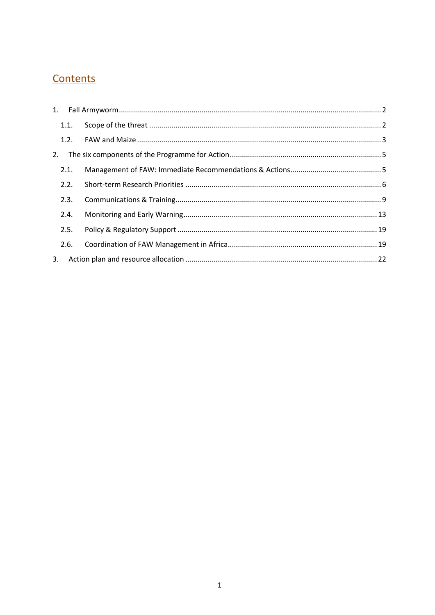## Contents

|    | 1.1. |  |
|----|------|--|
|    |      |  |
| 2. |      |  |
|    | 2.1. |  |
|    | 2.2. |  |
|    | 2.3. |  |
|    | 2.4. |  |
|    | 2.5. |  |
|    | 2.6. |  |
| 3. |      |  |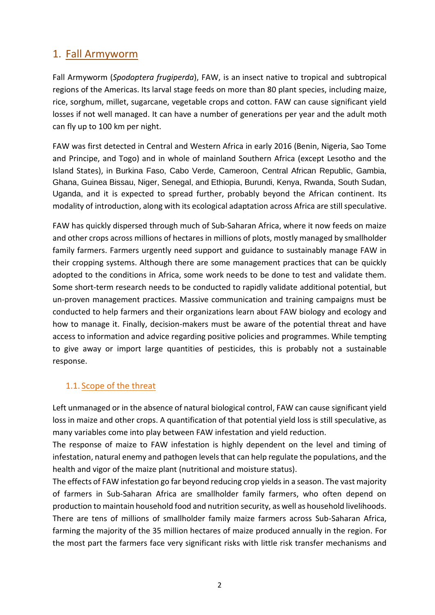## <span id="page-5-0"></span>1. Fall Armyworm

Fall Armyworm (*Spodoptera frugiperda*), FAW, is an insect native to tropical and subtropical regions of the Americas. Its larval stage feeds on more than 80 plant species, including maize, rice, sorghum, millet, sugarcane, vegetable crops and cotton. FAW can cause significant yield losses if not well managed. It can have a number of generations per year and the adult moth can fly up to 100 km per night.

FAW was first detected in Central and Western Africa in early 2016 (Benin, Nigeria, Sao Tome and Principe, and Togo) and in whole of mainland Southern Africa (except Lesotho and the Island States), in Burkina Faso, Cabo Verde, Cameroon, Central African Republic, Gambia, Ghana, Guinea Bissau, Niger, Senegal, and Ethiopia, Burundi, Kenya, Rwanda, South Sudan, Uganda, and it is expected to spread further, probably beyond the African continent. Its modality of introduction, along with its ecological adaptation across Africa are still speculative.

FAW has quickly dispersed through much of Sub-Saharan Africa, where it now feeds on maize and other crops across millions of hectares in millions of plots, mostly managed by smallholder family farmers. Farmers urgently need support and guidance to sustainably manage FAW in their cropping systems. Although there are some management practices that can be quickly adopted to the conditions in Africa, some work needs to be done to test and validate them. Some short-term research needs to be conducted to rapidly validate additional potential, but un-proven management practices. Massive communication and training campaigns must be conducted to help farmers and their organizations learn about FAW biology and ecology and how to manage it. Finally, decision-makers must be aware of the potential threat and have access to information and advice regarding positive policies and programmes. While tempting to give away or import large quantities of pesticides, this is probably not a sustainable response.

## <span id="page-5-1"></span>1.1. Scope of the threat

Left unmanaged or in the absence of natural biological control, FAW can cause significant yield loss in maize and other crops. A quantification of that potential yield loss is still speculative, as many variables come into play between FAW infestation and yield reduction.

The response of maize to FAW infestation is highly dependent on the level and timing of infestation, natural enemy and pathogen levels that can help regulate the populations, and the health and vigor of the maize plant (nutritional and moisture status).

The effects of FAW infestation go far beyond reducing crop yields in a season. The vast majority of farmers in Sub-Saharan Africa are smallholder family farmers, who often depend on production to maintain household food and nutrition security, as well as household livelihoods. There are tens of millions of smallholder family maize farmers across Sub-Saharan Africa, farming the majority of the 35 million hectares of maize produced annually in the region. For the most part the farmers face very significant risks with little risk transfer mechanisms and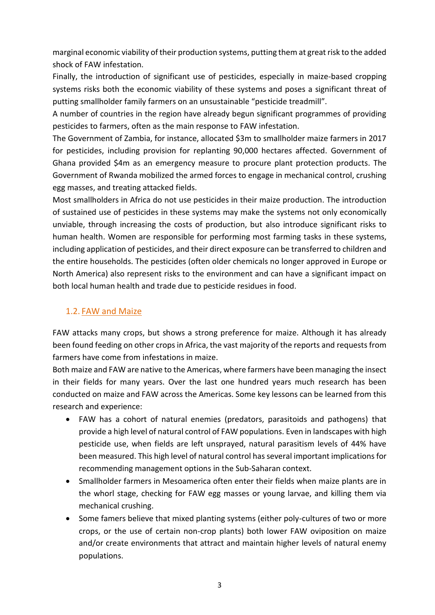marginal economic viability of their production systems, putting them at great risk to the added shock of FAW infestation.

Finally, the introduction of significant use of pesticides, especially in maize-based cropping systems risks both the economic viability of these systems and poses a significant threat of putting smallholder family farmers on an unsustainable "pesticide treadmill".

A number of countries in the region have already begun significant programmes of providing pesticides to farmers, often as the main response to FAW infestation.

The Government of Zambia, for instance, allocated \$3m to smallholder maize farmers in 2017 for pesticides, including provision for replanting 90,000 hectares affected. Government of Ghana provided \$4m as an emergency measure to procure plant protection products. The Government of Rwanda mobilized the armed forces to engage in mechanical control, crushing egg masses, and treating attacked fields.

Most smallholders in Africa do not use pesticides in their maize production. The introduction of sustained use of pesticides in these systems may make the systems not only economically unviable, through increasing the costs of production, but also introduce significant risks to human health. Women are responsible for performing most farming tasks in these systems, including application of pesticides, and their direct exposure can be transferred to children and the entire households. The pesticides (often older chemicals no longer approved in Europe or North America) also represent risks to the environment and can have a significant impact on both local human health and trade due to pesticide residues in food.

## <span id="page-6-0"></span>1.2. FAW and Maize

FAW attacks many crops, but shows a strong preference for maize. Although it has already been found feeding on other crops in Africa, the vast majority of the reports and requests from farmers have come from infestations in maize.

Both maize and FAW are native to the Americas, where farmers have been managing the insect in their fields for many years. Over the last one hundred years much research has been conducted on maize and FAW across the Americas. Some key lessons can be learned from this research and experience:

- FAW has a cohort of natural enemies (predators, parasitoids and pathogens) that provide a high level of natural control of FAW populations. Even in landscapes with high pesticide use, when fields are left unsprayed, natural parasitism levels of 44% have been measured. This high level of natural control has several important implications for recommending management options in the Sub-Saharan context.
- Smallholder farmers in Mesoamerica often enter their fields when maize plants are in the whorl stage, checking for FAW egg masses or young larvae, and killing them via mechanical crushing.
- Some famers believe that mixed planting systems (either poly-cultures of two or more crops, or the use of certain non-crop plants) both lower FAW oviposition on maize and/or create environments that attract and maintain higher levels of natural enemy populations.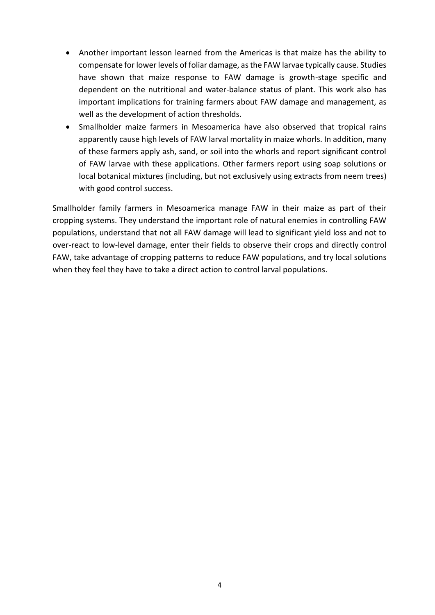- Another important lesson learned from the Americas is that maize has the ability to compensate for lower levels of foliar damage, as the FAW larvae typically cause. Studies have shown that maize response to FAW damage is growth-stage specific and dependent on the nutritional and water-balance status of plant. This work also has important implications for training farmers about FAW damage and management, as well as the development of action thresholds.
- Smallholder maize farmers in Mesoamerica have also observed that tropical rains apparently cause high levels of FAW larval mortality in maize whorls. In addition, many of these farmers apply ash, sand, or soil into the whorls and report significant control of FAW larvae with these applications. Other farmers report using soap solutions or local botanical mixtures (including, but not exclusively using extracts from neem trees) with good control success.

Smallholder family farmers in Mesoamerica manage FAW in their maize as part of their cropping systems. They understand the important role of natural enemies in controlling FAW populations, understand that not all FAW damage will lead to significant yield loss and not to over-react to low-level damage, enter their fields to observe their crops and directly control FAW, take advantage of cropping patterns to reduce FAW populations, and try local solutions when they feel they have to take a direct action to control larval populations.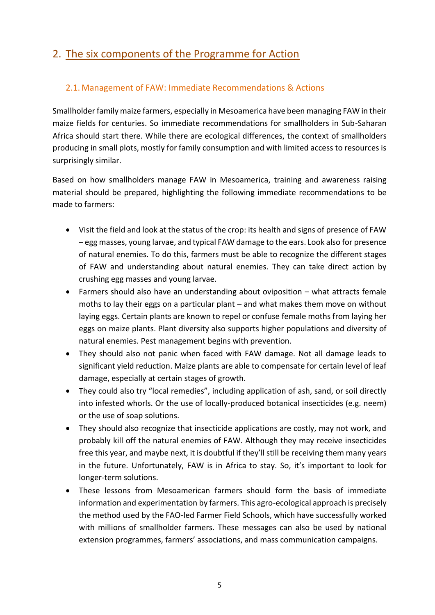## <span id="page-8-0"></span>2. The six components of the Programme for Action

## <span id="page-8-1"></span>2.1. Management of FAW: Immediate Recommendations & Actions

Smallholder family maize farmers, especially in Mesoamerica have been managing FAW in their maize fields for centuries. So immediate recommendations for smallholders in Sub-Saharan Africa should start there. While there are ecological differences, the context of smallholders producing in small plots, mostly for family consumption and with limited access to resources is surprisingly similar.

Based on how smallholders manage FAW in Mesoamerica, training and awareness raising material should be prepared, highlighting the following immediate recommendations to be made to farmers:

- Visit the field and look at the status of the crop: its health and signs of presence of FAW – egg masses, young larvae, and typical FAW damage to the ears. Look also for presence of natural enemies. To do this, farmers must be able to recognize the different stages of FAW and understanding about natural enemies. They can take direct action by crushing egg masses and young larvae.
- Farmers should also have an understanding about oviposition what attracts female moths to lay their eggs on a particular plant – and what makes them move on without laying eggs. Certain plants are known to repel or confuse female moths from laying her eggs on maize plants. Plant diversity also supports higher populations and diversity of natural enemies. Pest management begins with prevention.
- They should also not panic when faced with FAW damage. Not all damage leads to significant yield reduction. Maize plants are able to compensate for certain level of leaf damage, especially at certain stages of growth.
- They could also try "local remedies", including application of ash, sand, or soil directly into infested whorls. Or the use of locally-produced botanical insecticides (e.g. neem) or the use of soap solutions.
- They should also recognize that insecticide applications are costly, may not work, and probably kill off the natural enemies of FAW. Although they may receive insecticides free this year, and maybe next, it is doubtful if they'll still be receiving them many years in the future. Unfortunately, FAW is in Africa to stay. So, it's important to look for longer-term solutions.
- These lessons from Mesoamerican farmers should form the basis of immediate information and experimentation by farmers. This agro-ecological approach is precisely the method used by the FAO-led Farmer Field Schools, which have successfully worked with millions of smallholder farmers. These messages can also be used by national extension programmes, farmers' associations, and mass communication campaigns.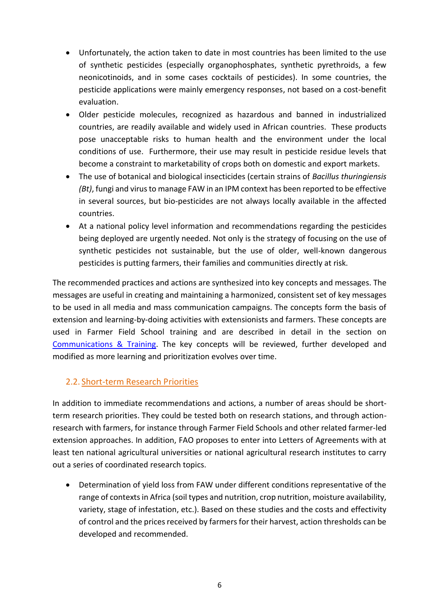- Unfortunately, the action taken to date in most countries has been limited to the use of synthetic pesticides (especially organophosphates, synthetic pyrethroids, a few neonicotinoids, and in some cases cocktails of pesticides). In some countries, the pesticide applications were mainly emergency responses, not based on a cost-benefit evaluation.
- Older pesticide molecules, recognized as hazardous and banned in industrialized countries, are readily available and widely used in African countries. These products pose unacceptable risks to human health and the environment under the local conditions of use. Furthermore, their use may result in pesticide residue levels that become a constraint to marketability of crops both on domestic and export markets.
- The use of botanical and biological insecticides (certain strains of *Bacillus thuringiensis (Bt)*, fungi and virus to manage FAW in an IPM context has been reported to be effective in several sources, but bio-pesticides are not always locally available in the affected countries.
- At a national policy level information and recommendations regarding the pesticides being deployed are urgently needed. Not only is the strategy of focusing on the use of synthetic pesticides not sustainable, but the use of older, well-known dangerous pesticides is putting farmers, their families and communities directly at risk.

The recommended practices and actions are synthesized into key concepts and messages. The messages are useful in creating and maintaining a harmonized, consistent set of key messages to be used in all media and mass communication campaigns. The concepts form the basis of extension and learning-by-doing activities with extensionists and farmers. These concepts are used in Farmer Field School training and are described in detail in the section on [Communications & Training.](#page-12-0) The key concepts will be reviewed, further developed and modified as more learning and prioritization evolves over time.

## <span id="page-9-0"></span>2.2. Short-term Research Priorities

In addition to immediate recommendations and actions, a number of areas should be shortterm research priorities. They could be tested both on research stations, and through actionresearch with farmers, for instance through Farmer Field Schools and other related farmer-led extension approaches. In addition, FAO proposes to enter into Letters of Agreements with at least ten national agricultural universities or national agricultural research institutes to carry out a series of coordinated research topics.

 Determination of yield loss from FAW under different conditions representative of the range of contexts in Africa (soil types and nutrition, crop nutrition, moisture availability, variety, stage of infestation, etc.). Based on these studies and the costs and effectivity of control and the prices received by farmers for their harvest, action thresholds can be developed and recommended.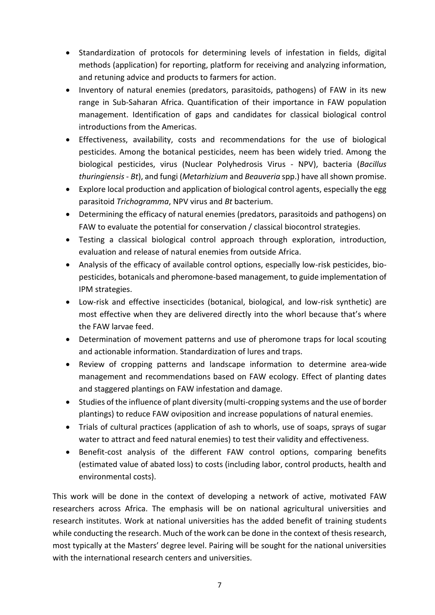- Standardization of protocols for determining levels of infestation in fields, digital methods (application) for reporting, platform for receiving and analyzing information, and retuning advice and products to farmers for action.
- Inventory of natural enemies (predators, parasitoids, pathogens) of FAW in its new range in Sub-Saharan Africa. Quantification of their importance in FAW population management. Identification of gaps and candidates for classical biological control introductions from the Americas.
- Effectiveness, availability, costs and recommendations for the use of biological pesticides. Among the botanical pesticides, neem has been widely tried. Among the biological pesticides, virus (Nuclear Polyhedrosis Virus - NPV), bacteria (*Bacillus thuringiensis - Bt*), and fungi (*Metarhizium* and *Beauveria* spp.) have all shown promise.
- Explore local production and application of biological control agents, especially the egg parasitoid *Trichogramma*, NPV virus and *Bt* bacterium.
- Determining the efficacy of natural enemies (predators, parasitoids and pathogens) on FAW to evaluate the potential for conservation / classical biocontrol strategies.
- Testing a classical biological control approach through exploration, introduction, evaluation and release of natural enemies from outside Africa.
- Analysis of the efficacy of available control options, especially low-risk pesticides, biopesticides, botanicals and pheromone-based management, to guide implementation of IPM strategies.
- Low-risk and effective insecticides (botanical, biological, and low-risk synthetic) are most effective when they are delivered directly into the whorl because that's where the FAW larvae feed.
- Determination of movement patterns and use of pheromone traps for local scouting and actionable information. Standardization of lures and traps.
- Review of cropping patterns and landscape information to determine area-wide management and recommendations based on FAW ecology. Effect of planting dates and staggered plantings on FAW infestation and damage.
- Studies of the influence of plant diversity (multi-cropping systems and the use of border plantings) to reduce FAW oviposition and increase populations of natural enemies.
- Trials of cultural practices (application of ash to whorls, use of soaps, sprays of sugar water to attract and feed natural enemies) to test their validity and effectiveness.
- Benefit-cost analysis of the different FAW control options, comparing benefits (estimated value of abated loss) to costs (including labor, control products, health and environmental costs).

This work will be done in the context of developing a network of active, motivated FAW researchers across Africa. The emphasis will be on national agricultural universities and research institutes. Work at national universities has the added benefit of training students while conducting the research. Much of the work can be done in the context of thesis research, most typically at the Masters' degree level. Pairing will be sought for the national universities with the international research centers and universities.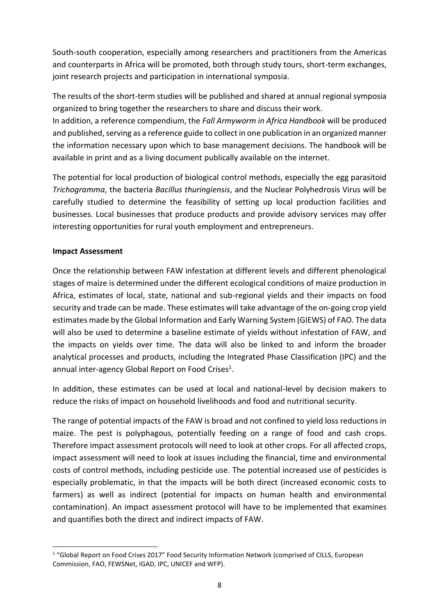South-south cooperation, especially among researchers and practitioners from the Americas and counterparts in Africa will be promoted, both through study tours, short-term exchanges, joint research projects and participation in international symposia.

The results of the short-term studies will be published and shared at annual regional symposia organized to bring together the researchers to share and discuss their work.

In addition, a reference compendium, the *Fall Armyworm in Africa Handbook* will be produced and published, serving as a reference guide to collect in one publication in an organized manner the information necessary upon which to base management decisions. The handbook will be available in print and as a living document publically available on the internet.

The potential for local production of biological control methods, especially the egg parasitoid *Trichogramma*, the bacteria *Bacillus thuringiensis*, and the Nuclear Polyhedrosis Virus will be carefully studied to determine the feasibility of setting up local production facilities and businesses. Local businesses that produce products and provide advisory services may offer interesting opportunities for rural youth employment and entrepreneurs.

#### **Impact Assessment**

1

Once the relationship between FAW infestation at different levels and different phenological stages of maize is determined under the different ecological conditions of maize production in Africa, estimates of local, state, national and sub-regional yields and their impacts on food security and trade can be made. These estimates will take advantage of the on-going crop yield estimates made by the Global Information and Early Warning System (GIEWS) of FAO. The data will also be used to determine a baseline estimate of yields without infestation of FAW, and the impacts on yields over time. The data will also be linked to and inform the broader analytical processes and products, including the Integrated Phase Classification (IPC) and the annual inter-agency Global Report on Food Crises<sup>1</sup>.

In addition, these estimates can be used at local and national-level by decision makers to reduce the risks of impact on household livelihoods and food and nutritional security.

The range of potential impacts of the FAW is broad and not confined to yield loss reductions in maize. The pest is polyphagous, potentially feeding on a range of food and cash crops. Therefore impact assessment protocols will need to look at other crops. For all affected crops, impact assessment will need to look at issues including the financial, time and environmental costs of control methods, including pesticide use. The potential increased use of pesticides is especially problematic, in that the impacts will be both direct (increased economic costs to farmers) as well as indirect (potential for impacts on human health and environmental contamination). An impact assessment protocol will have to be implemented that examines and quantifies both the direct and indirect impacts of FAW.

<sup>1</sup> "Global Report on Food Crises 2017" Food Security Information Network (comprised of CILLS, European Commission, FAO, FEWSNet, IGAD, IPC, UNICEF and WFP).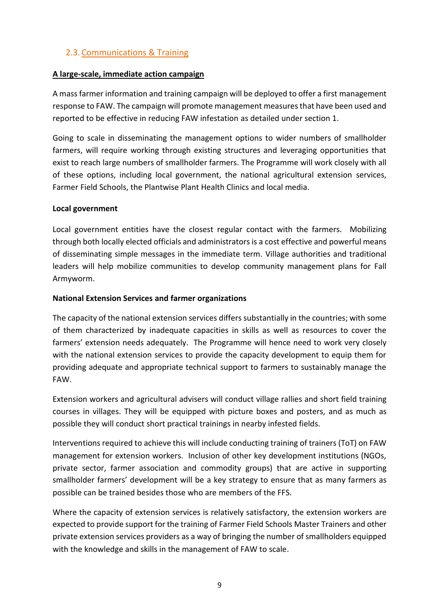## <span id="page-12-0"></span>2.3. Communications & Training

## **A large-scale, immediate action campaign**

A mass farmer information and training campaign will be deployed to offer a first management response to FAW. The campaign will promote management measures that have been used and reported to be effective in reducing FAW infestation as detailed under section 1.

Going to scale in disseminating the management options to wider numbers of smallholder farmers, will require working through existing structures and leveraging opportunities that exist to reach large numbers of smallholder farmers. The Programme will work closely with all of these options, including local government, the national agricultural extension services, Farmer Field Schools, the Plantwise Plant Health Clinics and local media.

## **Local government**

Local government entities have the closest regular contact with the farmers. Mobilizing through both locally elected officials and administrators is a cost effective and powerful means of disseminating simple messages in the immediate term. Village authorities and traditional leaders will help mobilize communities to develop community management plans for Fall Armyworm.

## **National Extension Services and farmer organizations**

The capacity of the national extension services differs substantially in the countries; with some of them characterized by inadequate capacities in skills as well as resources to cover the farmers' extension needs adequately. The Programme will hence need to work very closely with the national extension services to provide the capacity development to equip them for providing adequate and appropriate technical support to farmers to sustainably manage the FAW.

Extension workers and agricultural advisers will conduct village rallies and short field training courses in villages. They will be equipped with picture boxes and posters, and as much as possible they will conduct short practical trainings in nearby infested fields.

Interventions required to achieve this will include conducting training of trainers (ToT) on FAW management for extension workers. Inclusion of other key development institutions (NGOs, private sector, farmer association and commodity groups) that are active in supporting smallholder farmers' development will be a key strategy to ensure that as many farmers as possible can be trained besides those who are members of the FFS.

Where the capacity of extension services is relatively satisfactory, the extension workers are expected to provide support for the training of Farmer Field Schools Master Trainers and other private extension services providers as a way of bringing the number of smallholders equipped with the knowledge and skills in the management of FAW to scale.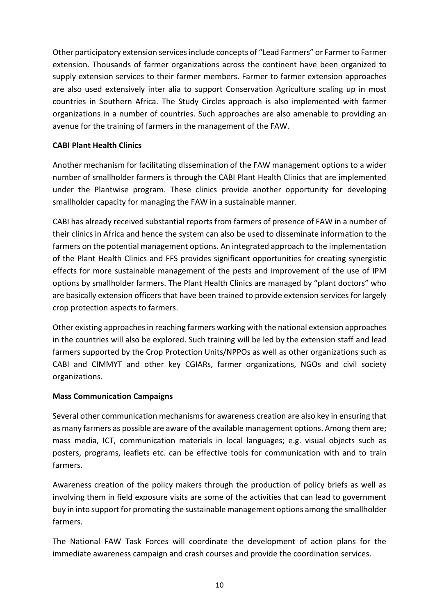Other participatory extension services include concepts of "Lead Farmers" or Farmer to Farmer extension. Thousands of farmer organizations across the continent have been organized to supply extension services to their farmer members. Farmer to farmer extension approaches are also used extensively inter alia to support Conservation Agriculture scaling up in most countries in Southern Africa. The Study Circles approach is also implemented with farmer organizations in a number of countries. Such approaches are also amenable to providing an avenue for the training of farmers in the management of the FAW.

## **CABI Plant Health Clinics**

Another mechanism for facilitating dissemination of the FAW management options to a wider number of smallholder farmers is through the CABI Plant Health Clinics that are implemented under the Plantwise program. These clinics provide another opportunity for developing smallholder capacity for managing the FAW in a sustainable manner.

CABI has already received substantial reports from farmers of presence of FAW in a number of their clinics in Africa and hence the system can also be used to disseminate information to the farmers on the potential management options. An integrated approach to the implementation of the Plant Health Clinics and FFS provides significant opportunities for creating synergistic effects for more sustainable management of the pests and improvement of the use of IPM options by smallholder farmers. The Plant Health Clinics are managed by "plant doctors" who are basically extension officers that have been trained to provide extension services for largely crop protection aspects to farmers.

Other existing approaches in reaching farmers working with the national extension approaches in the countries will also be explored. Such training will be led by the extension staff and lead farmers supported by the Crop Protection Units/NPPOs as well as other organizations such as CABI and CIMMYT and other key CGIARs, farmer organizations, NGOs and civil society organizations.

## **Mass Communication Campaigns**

Several other communication mechanisms for awareness creation are also key in ensuring that as many farmers as possible are aware of the available management options. Among them are; mass media, ICT, communication materials in local languages; e.g. visual objects such as posters, programs, leaflets etc. can be effective tools for communication with and to train farmers.

Awareness creation of the policy makers through the production of policy briefs as well as involving them in field exposure visits are some of the activities that can lead to government buy in into support for promoting the sustainable management options among the smallholder farmers.

The National FAW Task Forces will coordinate the development of action plans for the immediate awareness campaign and crash courses and provide the coordination services.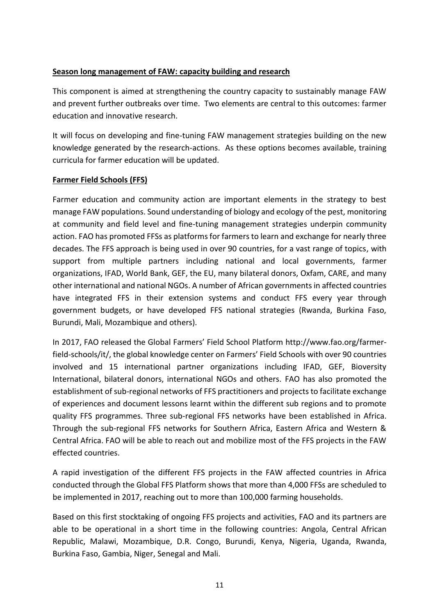## **Season long management of FAW: capacity building and research**

This component is aimed at strengthening the country capacity to sustainably manage FAW and prevent further outbreaks over time. Two elements are central to this outcomes: farmer education and innovative research.

It will focus on developing and fine-tuning FAW management strategies building on the new knowledge generated by the research-actions. As these options becomes available, training curricula for farmer education will be updated.

## **Farmer Field Schools (FFS)**

Farmer education and community action are important elements in the strategy to best manage FAW populations. Sound understanding of biology and ecology of the pest, monitoring at community and field level and fine-tuning management strategies underpin community action. FAO has promoted FFSs as platforms for farmers to learn and exchange for nearly three decades. The FFS approach is being used in over 90 countries, for a vast range of topics, with support from multiple partners including national and local governments, farmer organizations, IFAD, World Bank, GEF, the EU, many bilateral donors, Oxfam, CARE, and many other international and national NGOs. A number of African governments in affected countries have integrated FFS in their extension systems and conduct FFS every year through government budgets, or have developed FFS national strategies (Rwanda, Burkina Faso, Burundi, Mali, Mozambique and others).

In 2017, FAO released the Global Farmers' Field School Platform http://www.fao.org/farmerfield-schools/it/, the global knowledge center on Farmers' Field Schools with over 90 countries involved and 15 international partner organizations including IFAD, GEF, Bioversity International, bilateral donors, international NGOs and others. FAO has also promoted the establishment of sub-regional networks of FFS practitioners and projects to facilitate exchange of experiences and document lessons learnt within the different sub regions and to promote quality FFS programmes. Three sub-regional FFS networks have been established in Africa. Through the sub-regional FFS networks for Southern Africa, Eastern Africa and Western & Central Africa. FAO will be able to reach out and mobilize most of the FFS projects in the FAW effected countries.

A rapid investigation of the different FFS projects in the FAW affected countries in Africa conducted through the Global FFS Platform shows that more than 4,000 FFSs are scheduled to be implemented in 2017, reaching out to more than 100,000 farming households.

Based on this first stocktaking of ongoing FFS projects and activities, FAO and its partners are able to be operational in a short time in the following countries: Angola, Central African Republic, Malawi, Mozambique, D.R. Congo, Burundi, Kenya, Nigeria, Uganda, Rwanda, Burkina Faso, Gambia, Niger, Senegal and Mali.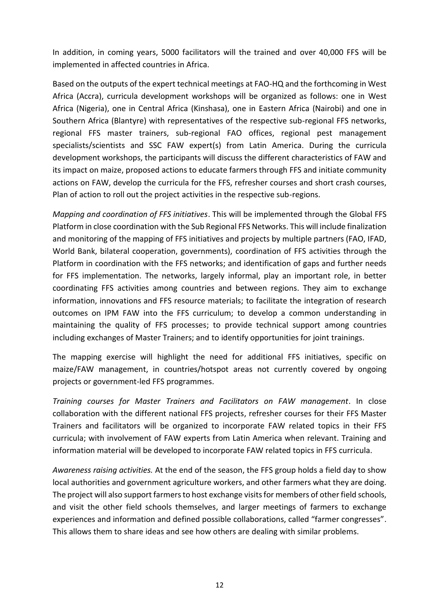In addition, in coming years, 5000 facilitators will the trained and over 40,000 FFS will be implemented in affected countries in Africa.

Based on the outputs of the expert technical meetings at FAO-HQ and the forthcoming in West Africa (Accra), curricula development workshops will be organized as follows: one in West Africa (Nigeria), one in Central Africa (Kinshasa), one in Eastern Africa (Nairobi) and one in Southern Africa (Blantyre) with representatives of the respective sub-regional FFS networks, regional FFS master trainers, sub-regional FAO offices, regional pest management specialists/scientists and SSC FAW expert(s) from Latin America. During the curricula development workshops, the participants will discuss the different characteristics of FAW and its impact on maize, proposed actions to educate farmers through FFS and initiate community actions on FAW, develop the curricula for the FFS, refresher courses and short crash courses, Plan of action to roll out the project activities in the respective sub-regions.

*Mapping and coordination of FFS initiatives*. This will be implemented through the Global FFS Platform in close coordination with the Sub Regional FFS Networks. This will include finalization and monitoring of the mapping of FFS initiatives and projects by multiple partners (FAO, IFAD, World Bank, bilateral cooperation, governments), coordination of FFS activities through the Platform in coordination with the FFS networks; and identification of gaps and further needs for FFS implementation. The networks, largely informal, play an important role, in better coordinating FFS activities among countries and between regions. They aim to exchange information, innovations and FFS resource materials; to facilitate the integration of research outcomes on IPM FAW into the FFS curriculum; to develop a common understanding in maintaining the quality of FFS processes; to provide technical support among countries including exchanges of Master Trainers; and to identify opportunities for joint trainings.

The mapping exercise will highlight the need for additional FFS initiatives, specific on maize/FAW management, in countries/hotspot areas not currently covered by ongoing projects or government-led FFS programmes.

*Training courses for Master Trainers and Facilitators on FAW management*. In close collaboration with the different national FFS projects, refresher courses for their FFS Master Trainers and facilitators will be organized to incorporate FAW related topics in their FFS curricula; with involvement of FAW experts from Latin America when relevant. Training and information material will be developed to incorporate FAW related topics in FFS curricula.

*Awareness raising activities.* At the end of the season, the FFS group holds a field day to show local authorities and government agriculture workers, and other farmers what they are doing. The project will also support farmers to host exchange visits for members of other field schools, and visit the other field schools themselves, and larger meetings of farmers to exchange experiences and information and defined possible collaborations, called "farmer congresses". This allows them to share ideas and see how others are dealing with similar problems.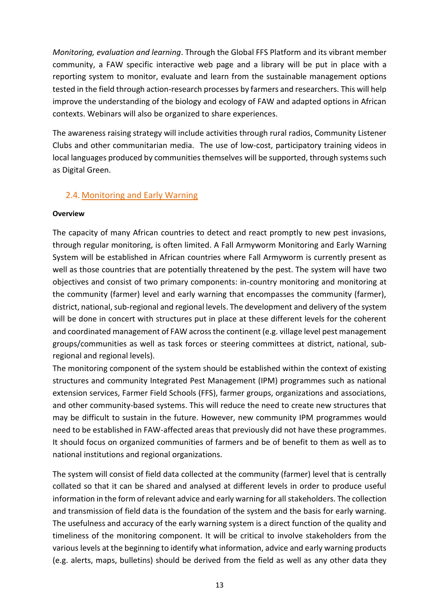*Monitoring, evaluation and learning*. Through the Global FFS Platform and its vibrant member community, a FAW specific interactive web page and a library will be put in place with a reporting system to monitor, evaluate and learn from the sustainable management options tested in the field through action-research processes by farmers and researchers. This will help improve the understanding of the biology and ecology of FAW and adapted options in African contexts. Webinars will also be organized to share experiences.

The awareness raising strategy will include activities through rural radios, Community Listener Clubs and other communitarian media. The use of low-cost, participatory training videos in local languages produced by communities themselves will be supported, through systems such as Digital Green.

## <span id="page-16-0"></span>2.4. Monitoring and Early Warning

#### **Overview**

The capacity of many African countries to detect and react promptly to new pest invasions, through regular monitoring, is often limited. A Fall Armyworm Monitoring and Early Warning System will be established in African countries where Fall Armyworm is currently present as well as those countries that are potentially threatened by the pest. The system will have two objectives and consist of two primary components: in-country monitoring and monitoring at the community (farmer) level and early warning that encompasses the community (farmer), district, national, sub-regional and regional levels. The development and delivery of the system will be done in concert with structures put in place at these different levels for the coherent and coordinated management of FAW across the continent (e.g. village level pest management groups/communities as well as task forces or steering committees at district, national, subregional and regional levels).

The monitoring component of the system should be established within the context of existing structures and community Integrated Pest Management (IPM) programmes such as national extension services, Farmer Field Schools (FFS), farmer groups, organizations and associations, and other community-based systems. This will reduce the need to create new structures that may be difficult to sustain in the future. However, new community IPM programmes would need to be established in FAW-affected areas that previously did not have these programmes. It should focus on organized communities of farmers and be of benefit to them as well as to national institutions and regional organizations.

The system will consist of field data collected at the community (farmer) level that is centrally collated so that it can be shared and analysed at different levels in order to produce useful information in the form of relevant advice and early warning for all stakeholders. The collection and transmission of field data is the foundation of the system and the basis for early warning. The usefulness and accuracy of the early warning system is a direct function of the quality and timeliness of the monitoring component. It will be critical to involve stakeholders from the various levels at the beginning to identify what information, advice and early warning products (e.g. alerts, maps, bulletins) should be derived from the field as well as any other data they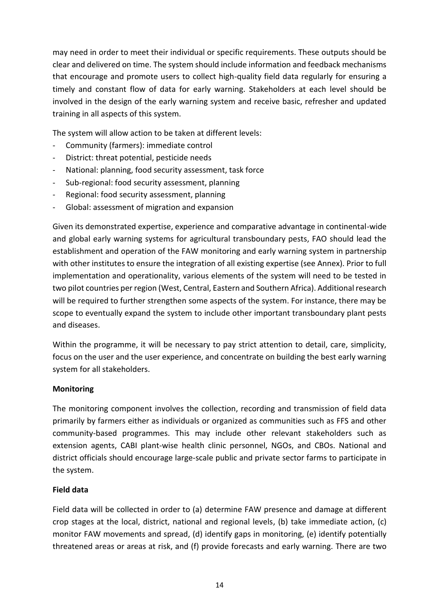may need in order to meet their individual or specific requirements. These outputs should be clear and delivered on time. The system should include information and feedback mechanisms that encourage and promote users to collect high-quality field data regularly for ensuring a timely and constant flow of data for early warning. Stakeholders at each level should be involved in the design of the early warning system and receive basic, refresher and updated training in all aspects of this system.

The system will allow action to be taken at different levels:

- Community (farmers): immediate control
- District: threat potential, pesticide needs
- National: planning, food security assessment, task force
- Sub-regional: food security assessment, planning
- Regional: food security assessment, planning
- Global: assessment of migration and expansion

Given its demonstrated expertise, experience and comparative advantage in continental-wide and global early warning systems for agricultural transboundary pests, FAO should lead the establishment and operation of the FAW monitoring and early warning system in partnership with other institutes to ensure the integration of all existing expertise (see Annex). Prior to full implementation and operationality, various elements of the system will need to be tested in two pilot countries per region (West, Central, Eastern and Southern Africa). Additional research will be required to further strengthen some aspects of the system. For instance, there may be scope to eventually expand the system to include other important transboundary plant pests and diseases.

Within the programme, it will be necessary to pay strict attention to detail, care, simplicity, focus on the user and the user experience, and concentrate on building the best early warning system for all stakeholders.

#### **Monitoring**

The monitoring component involves the collection, recording and transmission of field data primarily by farmers either as individuals or organized as communities such as FFS and other community-based programmes. This may include other relevant stakeholders such as extension agents, CABI plant-wise health clinic personnel, NGOs, and CBOs. National and district officials should encourage large-scale public and private sector farms to participate in the system.

#### **Field data**

Field data will be collected in order to (a) determine FAW presence and damage at different crop stages at the local, district, national and regional levels, (b) take immediate action, (c) monitor FAW movements and spread, (d) identify gaps in monitoring, (e) identify potentially threatened areas or areas at risk, and (f) provide forecasts and early warning. There are two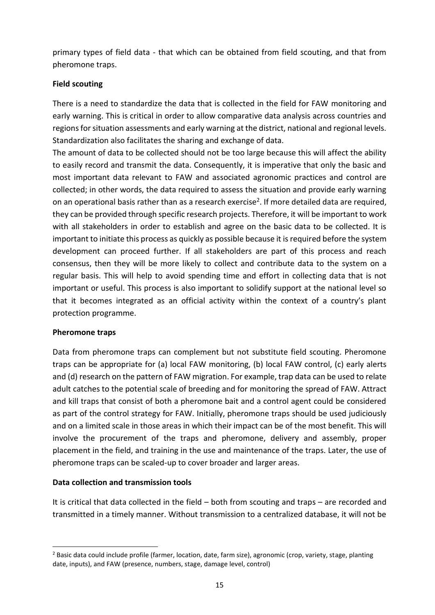primary types of field data - that which can be obtained from field scouting, and that from pheromone traps.

## **Field scouting**

There is a need to standardize the data that is collected in the field for FAW monitoring and early warning. This is critical in order to allow comparative data analysis across countries and regions for situation assessments and early warning at the district, national and regional levels. Standardization also facilitates the sharing and exchange of data.

The amount of data to be collected should not be too large because this will affect the ability to easily record and transmit the data. Consequently, it is imperative that only the basic and most important data relevant to FAW and associated agronomic practices and control are collected; in other words, the data required to assess the situation and provide early warning on an operational basis rather than as a research exercise<sup>2</sup>. If more detailed data are required, they can be provided through specific research projects. Therefore, it will be important to work with all stakeholders in order to establish and agree on the basic data to be collected. It is important to initiate this process as quickly as possible because it is required before the system development can proceed further. If all stakeholders are part of this process and reach consensus, then they will be more likely to collect and contribute data to the system on a regular basis. This will help to avoid spending time and effort in collecting data that is not important or useful. This process is also important to solidify support at the national level so that it becomes integrated as an official activity within the context of a country's plant protection programme.

## **Pheromone traps**

1

Data from pheromone traps can complement but not substitute field scouting. Pheromone traps can be appropriate for (a) local FAW monitoring, (b) local FAW control, (c) early alerts and (d) research on the pattern of FAW migration. For example, trap data can be used to relate adult catches to the potential scale of breeding and for monitoring the spread of FAW. Attract and kill traps that consist of both a pheromone bait and a control agent could be considered as part of the control strategy for FAW. Initially, pheromone traps should be used judiciously and on a limited scale in those areas in which their impact can be of the most benefit. This will involve the procurement of the traps and pheromone, delivery and assembly, proper placement in the field, and training in the use and maintenance of the traps. Later, the use of pheromone traps can be scaled-up to cover broader and larger areas.

## **Data collection and transmission tools**

It is critical that data collected in the field – both from scouting and traps – are recorded and transmitted in a timely manner. Without transmission to a centralized database, it will not be

<sup>&</sup>lt;sup>2</sup> Basic data could include profile (farmer, location, date, farm size), agronomic (crop, variety, stage, planting date, inputs), and FAW (presence, numbers, stage, damage level, control)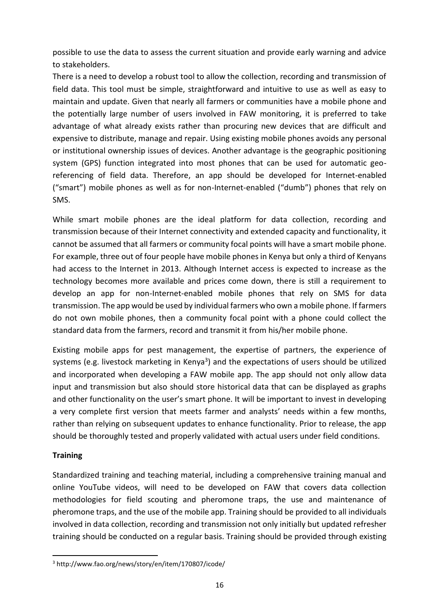possible to use the data to assess the current situation and provide early warning and advice to stakeholders.

There is a need to develop a robust tool to allow the collection, recording and transmission of field data. This tool must be simple, straightforward and intuitive to use as well as easy to maintain and update. Given that nearly all farmers or communities have a mobile phone and the potentially large number of users involved in FAW monitoring, it is preferred to take advantage of what already exists rather than procuring new devices that are difficult and expensive to distribute, manage and repair. Using existing mobile phones avoids any personal or institutional ownership issues of devices. Another advantage is the geographic positioning system (GPS) function integrated into most phones that can be used for automatic georeferencing of field data. Therefore, an app should be developed for Internet-enabled ("smart") mobile phones as well as for non-Internet-enabled ("dumb") phones that rely on SMS.

While smart mobile phones are the ideal platform for data collection, recording and transmission because of their Internet connectivity and extended capacity and functionality, it cannot be assumed that all farmers or community focal points will have a smart mobile phone. For example, three out of four people have mobile phones in Kenya but only a third of Kenyans had access to the Internet in 2013. Although Internet access is expected to increase as the technology becomes more available and prices come down, there is still a requirement to develop an app for non-Internet-enabled mobile phones that rely on SMS for data transmission. The app would be used by individual farmers who own a mobile phone. If farmers do not own mobile phones, then a community focal point with a phone could collect the standard data from the farmers, record and transmit it from his/her mobile phone.

Existing mobile apps for pest management, the expertise of partners, the experience of systems (e.g. livestock marketing in Kenya<sup>3</sup>) and the expectations of users should be utilized and incorporated when developing a FAW mobile app. The app should not only allow data input and transmission but also should store historical data that can be displayed as graphs and other functionality on the user's smart phone. It will be important to invest in developing a very complete first version that meets farmer and analysts' needs within a few months, rather than relying on subsequent updates to enhance functionality. Prior to release, the app should be thoroughly tested and properly validated with actual users under field conditions.

## **Training**

**.** 

Standardized training and teaching material, including a comprehensive training manual and online YouTube videos, will need to be developed on FAW that covers data collection methodologies for field scouting and pheromone traps, the use and maintenance of pheromone traps, and the use of the mobile app. Training should be provided to all individuals involved in data collection, recording and transmission not only initially but updated refresher training should be conducted on a regular basis. Training should be provided through existing

<sup>3</sup> http://www.fao.org/news/story/en/item/170807/icode/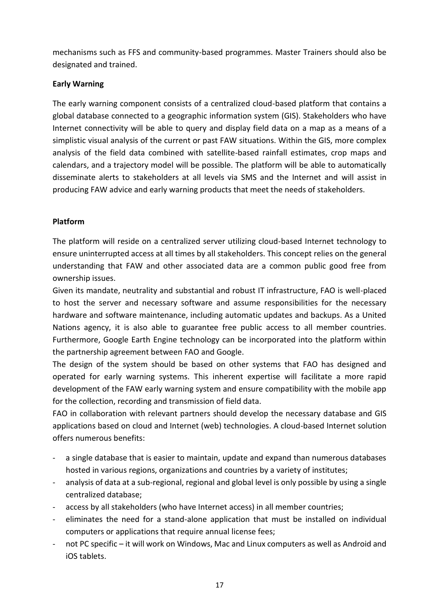mechanisms such as FFS and community-based programmes. Master Trainers should also be designated and trained.

## **Early Warning**

The early warning component consists of a centralized cloud-based platform that contains a global database connected to a geographic information system (GIS). Stakeholders who have Internet connectivity will be able to query and display field data on a map as a means of a simplistic visual analysis of the current or past FAW situations. Within the GIS, more complex analysis of the field data combined with satellite-based rainfall estimates, crop maps and calendars, and a trajectory model will be possible. The platform will be able to automatically disseminate alerts to stakeholders at all levels via SMS and the Internet and will assist in producing FAW advice and early warning products that meet the needs of stakeholders.

## **Platform**

The platform will reside on a centralized server utilizing cloud-based Internet technology to ensure uninterrupted access at all times by all stakeholders. This concept relies on the general understanding that FAW and other associated data are a common public good free from ownership issues.

Given its mandate, neutrality and substantial and robust IT infrastructure, FAO is well-placed to host the server and necessary software and assume responsibilities for the necessary hardware and software maintenance, including automatic updates and backups. As a United Nations agency, it is also able to guarantee free public access to all member countries. Furthermore, Google Earth Engine technology can be incorporated into the platform within the partnership agreement between FAO and Google.

The design of the system should be based on other systems that FAO has designed and operated for early warning systems. This inherent expertise will facilitate a more rapid development of the FAW early warning system and ensure compatibility with the mobile app for the collection, recording and transmission of field data.

FAO in collaboration with relevant partners should develop the necessary database and GIS applications based on cloud and Internet (web) technologies. A cloud-based Internet solution offers numerous benefits:

- a single database that is easier to maintain, update and expand than numerous databases hosted in various regions, organizations and countries by a variety of institutes;
- analysis of data at a sub-regional, regional and global level is only possible by using a single centralized database;
- access by all stakeholders (who have Internet access) in all member countries;
- eliminates the need for a stand-alone application that must be installed on individual computers or applications that require annual license fees;
- not PC specific it will work on Windows, Mac and Linux computers as well as Android and iOS tablets.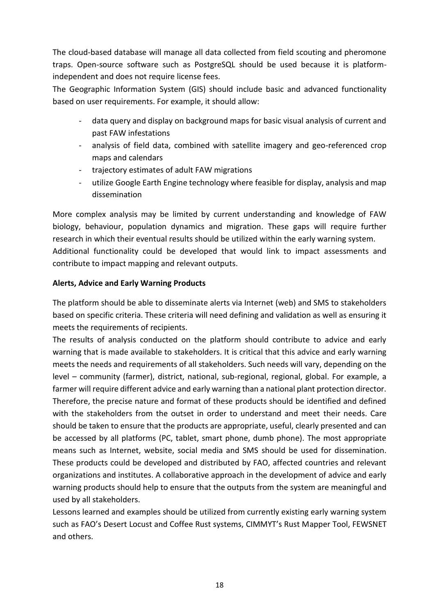The cloud-based database will manage all data collected from field scouting and pheromone traps. Open-source software such as PostgreSQL should be used because it is platformindependent and does not require license fees.

The Geographic Information System (GIS) should include basic and advanced functionality based on user requirements. For example, it should allow:

- data query and display on background maps for basic visual analysis of current and past FAW infestations
- analysis of field data, combined with satellite imagery and geo-referenced crop maps and calendars
- trajectory estimates of adult FAW migrations
- utilize Google Earth Engine technology where feasible for display, analysis and map dissemination

More complex analysis may be limited by current understanding and knowledge of FAW biology, behaviour, population dynamics and migration. These gaps will require further research in which their eventual results should be utilized within the early warning system. Additional functionality could be developed that would link to impact assessments and contribute to impact mapping and relevant outputs.

## **Alerts, Advice and Early Warning Products**

The platform should be able to disseminate alerts via Internet (web) and SMS to stakeholders based on specific criteria. These criteria will need defining and validation as well as ensuring it meets the requirements of recipients.

The results of analysis conducted on the platform should contribute to advice and early warning that is made available to stakeholders. It is critical that this advice and early warning meets the needs and requirements of all stakeholders. Such needs will vary, depending on the level – community (farmer), district, national, sub-regional, regional, global. For example, a farmer will require different advice and early warning than a national plant protection director. Therefore, the precise nature and format of these products should be identified and defined with the stakeholders from the outset in order to understand and meet their needs. Care should be taken to ensure that the products are appropriate, useful, clearly presented and can be accessed by all platforms (PC, tablet, smart phone, dumb phone). The most appropriate means such as Internet, website, social media and SMS should be used for dissemination. These products could be developed and distributed by FAO, affected countries and relevant organizations and institutes. A collaborative approach in the development of advice and early warning products should help to ensure that the outputs from the system are meaningful and used by all stakeholders.

Lessons learned and examples should be utilized from currently existing early warning system such as FAO's Desert Locust and Coffee Rust systems, CIMMYT's Rust Mapper Tool, FEWSNET and others.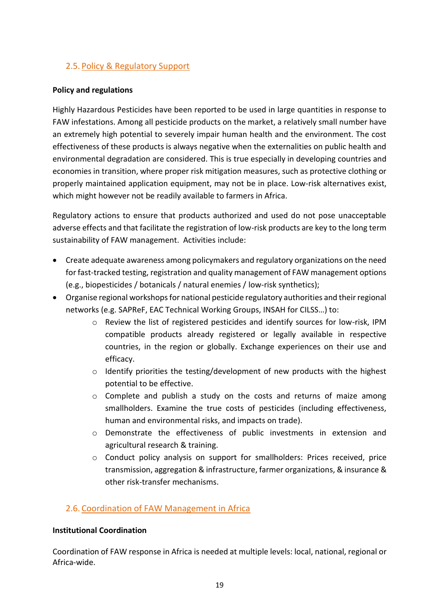## <span id="page-22-0"></span>2.5. Policy & Regulatory Support

## **Policy and regulations**

Highly Hazardous Pesticides have been reported to be used in large quantities in response to FAW infestations. Among all pesticide products on the market, a relatively small number have an extremely high potential to severely impair human health and the environment. The cost effectiveness of these products is always negative when the externalities on public health and environmental degradation are considered. This is true especially in developing countries and economies in transition, where proper risk mitigation measures, such as protective clothing or properly maintained application equipment, may not be in place. Low-risk alternatives exist, which might however not be readily available to farmers in Africa.

Regulatory actions to ensure that products authorized and used do not pose unacceptable adverse effects and that facilitate the registration of low-risk products are key to the long term sustainability of FAW management. Activities include:

- Create adequate awareness among policymakers and regulatory organizations on the need for fast-tracked testing, registration and quality management of FAW management options (e.g., biopesticides / botanicals / natural enemies / low-risk synthetics);
- Organise regional workshops for national pesticide regulatory authorities and their regional networks (e.g. SAPReF, EAC Technical Working Groups, INSAH for CILSS…) to:
	- o Review the list of registered pesticides and identify sources for low-risk, IPM compatible products already registered or legally available in respective countries, in the region or globally. Exchange experiences on their use and efficacy.
	- o Identify priorities the testing/development of new products with the highest potential to be effective.
	- $\circ$  Complete and publish a study on the costs and returns of maize among smallholders. Examine the true costs of pesticides (including effectiveness, human and environmental risks, and impacts on trade).
	- o Demonstrate the effectiveness of public investments in extension and agricultural research & training.
	- o Conduct policy analysis on support for smallholders: Prices received, price transmission, aggregation & infrastructure, farmer organizations, & insurance & other risk-transfer mechanisms.

## <span id="page-22-1"></span>2.6. Coordination of FAW Management in Africa

## **Institutional Coordination**

Coordination of FAW response in Africa is needed at multiple levels: local, national, regional or Africa-wide.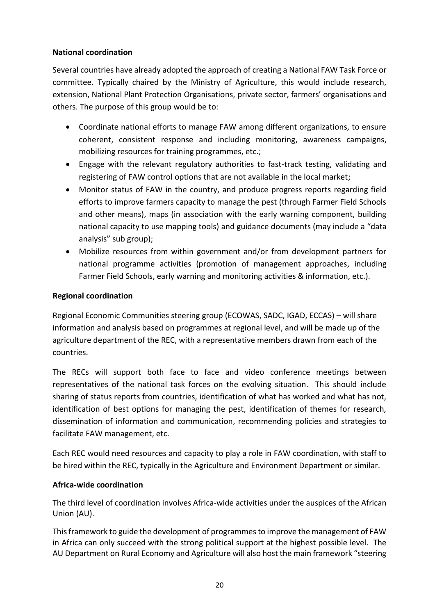## **National coordination**

Several countries have already adopted the approach of creating a National FAW Task Force or committee. Typically chaired by the Ministry of Agriculture, this would include research, extension, National Plant Protection Organisations, private sector, farmers' organisations and others. The purpose of this group would be to:

- Coordinate national efforts to manage FAW among different organizations, to ensure coherent, consistent response and including monitoring, awareness campaigns, mobilizing resources for training programmes, etc.;
- Engage with the relevant regulatory authorities to fast-track testing, validating and registering of FAW control options that are not available in the local market;
- Monitor status of FAW in the country, and produce progress reports regarding field efforts to improve farmers capacity to manage the pest (through Farmer Field Schools and other means), maps (in association with the early warning component, building national capacity to use mapping tools) and guidance documents (may include a "data analysis" sub group);
- Mobilize resources from within government and/or from development partners for national programme activities (promotion of management approaches, including Farmer Field Schools, early warning and monitoring activities & information, etc.).

## **Regional coordination**

Regional Economic Communities steering group (ECOWAS, SADC, IGAD, ECCAS) – will share information and analysis based on programmes at regional level, and will be made up of the agriculture department of the REC, with a representative members drawn from each of the countries.

The RECs will support both face to face and video conference meetings between representatives of the national task forces on the evolving situation. This should include sharing of status reports from countries, identification of what has worked and what has not, identification of best options for managing the pest, identification of themes for research, dissemination of information and communication, recommending policies and strategies to facilitate FAW management, etc.

Each REC would need resources and capacity to play a role in FAW coordination, with staff to be hired within the REC, typically in the Agriculture and Environment Department or similar.

## **Africa-wide coordination**

The third level of coordination involves Africa-wide activities under the auspices of the African Union (AU).

This framework to guide the development of programmes to improve the management of FAW in Africa can only succeed with the strong political support at the highest possible level. The AU Department on Rural Economy and Agriculture will also host the main framework "steering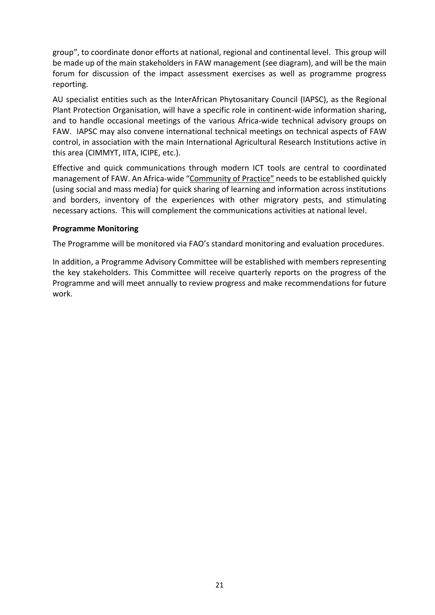group", to coordinate donor efforts at national, regional and continental level. This group will be made up of the main stakeholders in FAW management (see diagram), and will be the main forum for discussion of the impact assessment exercises as well as programme progress reporting.

AU specialist entities such as the InterAfrican Phytosanitary Council (IAPSC), as the Regional Plant Protection Organisation, will have a specific role in continent-wide information sharing, and to handle occasional meetings of the various Africa-wide technical advisory groups on FAW. IAPSC may also convene international technical meetings on technical aspects of FAW control, in association with the main International Agricultural Research Institutions active in this area (CIMMYT, IITA, ICIPE, etc.).

Effective and quick communications through modern ICT tools are central to coordinated management of FAW. An Africa-wide "Community of Practice" needs to be established quickly (using social and mass media) for quick sharing of learning and information across institutions and borders, inventory of the experiences with other migratory pests, and stimulating necessary actions. This will complement the communications activities at national level.

#### **Programme Monitoring**

The Programme will be monitored via FAO's standard monitoring and evaluation procedures.

In addition, a Programme Advisory Committee will be established with members representing the key stakeholders. This Committee will receive quarterly reports on the progress of the Programme and will meet annually to review progress and make recommendations for future work.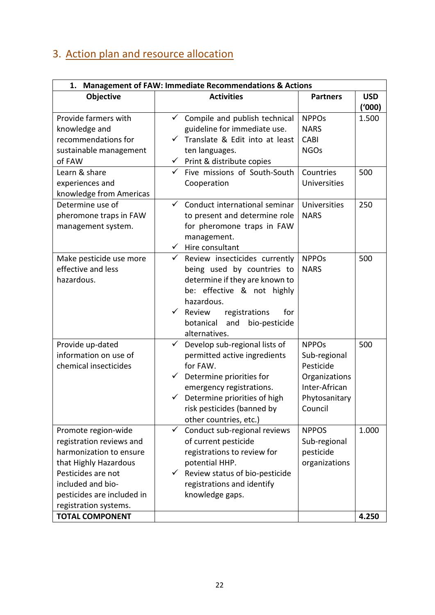## <span id="page-25-0"></span>3. Action plan and resource allocation

| <b>Management of FAW: Immediate Recommendations &amp; Actions</b><br>1.                                                                                                                                                         |                                                                                                                                                                                                                                                                   |                                                                                                         |                      |
|---------------------------------------------------------------------------------------------------------------------------------------------------------------------------------------------------------------------------------|-------------------------------------------------------------------------------------------------------------------------------------------------------------------------------------------------------------------------------------------------------------------|---------------------------------------------------------------------------------------------------------|----------------------|
| Objective                                                                                                                                                                                                                       | <b>Activities</b>                                                                                                                                                                                                                                                 | <b>Partners</b>                                                                                         | <b>USD</b><br>(1000) |
| Provide farmers with<br>knowledge and<br>recommendations for<br>sustainable management<br>of FAW                                                                                                                                | Compile and publish technical<br>$\checkmark$<br>guideline for immediate use.<br>Translate & Edit into at least<br>ten languages.<br>$\checkmark$ Print & distribute copies                                                                                       | <b>NPPO<sub>s</sub></b><br><b>NARS</b><br><b>CABI</b><br><b>NGOs</b>                                    | 1.500                |
| Learn & share<br>experiences and<br>knowledge from Americas                                                                                                                                                                     | $\checkmark$ Five missions of South-South<br>Cooperation                                                                                                                                                                                                          | Countries<br>Universities                                                                               | 500                  |
| Determine use of<br>pheromone traps in FAW<br>management system.                                                                                                                                                                | $\checkmark$<br>Conduct international seminar<br>to present and determine role<br>for pheromone traps in FAW<br>management.<br>$\checkmark$ Hire consultant                                                                                                       | <b>Universities</b><br><b>NARS</b>                                                                      | 250                  |
| Make pesticide use more<br>effective and less<br>hazardous.                                                                                                                                                                     | $\checkmark$<br>Review insecticides currently<br>being used by countries to<br>determine if they are known to<br>be: effective & not highly<br>hazardous.<br>$\checkmark$<br>Review<br>registrations<br>for<br>and<br>bio-pesticide<br>botanical<br>alternatives. | <b>NPPOs</b><br><b>NARS</b>                                                                             | 500                  |
| Provide up-dated<br>information on use of<br>chemical insecticides                                                                                                                                                              | $\checkmark$<br>Develop sub-regional lists of<br>permitted active ingredients<br>for FAW.<br>Determine priorities for<br>emergency registrations.<br>Determine priorities of high<br>$\checkmark$<br>risk pesticides (banned by<br>other countries, etc.)         | <b>NPPOs</b><br>Sub-regional<br>Pesticide<br>Organizations<br>Inter-African<br>Phytosanitary<br>Council | 500                  |
| Promote region-wide<br>registration reviews and<br>harmonization to ensure<br>that Highly Hazardous<br>Pesticides are not<br>included and bio-<br>pesticides are included in<br>registration systems.<br><b>TOTAL COMPONENT</b> | Conduct sub-regional reviews<br>$\checkmark$<br>of current pesticide<br>registrations to review for<br>potential HHP.<br>Review status of bio-pesticide<br>$\checkmark$<br>registrations and identify<br>knowledge gaps.                                          | <b>NPPOS</b><br>Sub-regional<br>pesticide<br>organizations                                              | 1.000<br>4.250       |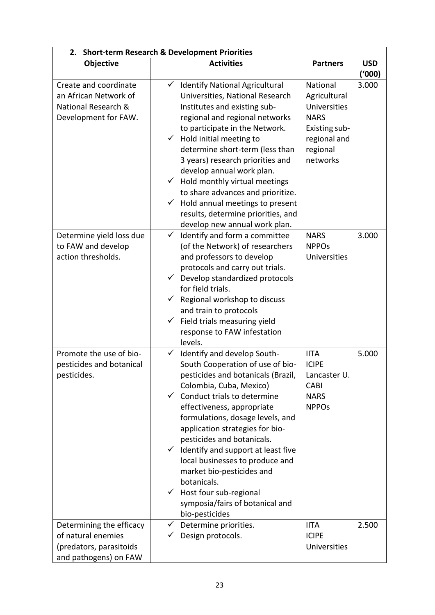| <b>Short-term Research &amp; Development Priorities</b><br>2.                                      |                                                                                                                                                                                                                                                                                                                                                                                                                                                                                                                                                               |                                                                                                                  |            |
|----------------------------------------------------------------------------------------------------|---------------------------------------------------------------------------------------------------------------------------------------------------------------------------------------------------------------------------------------------------------------------------------------------------------------------------------------------------------------------------------------------------------------------------------------------------------------------------------------------------------------------------------------------------------------|------------------------------------------------------------------------------------------------------------------|------------|
| Objective                                                                                          | <b>Activities</b>                                                                                                                                                                                                                                                                                                                                                                                                                                                                                                                                             | <b>Partners</b>                                                                                                  | <b>USD</b> |
|                                                                                                    |                                                                                                                                                                                                                                                                                                                                                                                                                                                                                                                                                               |                                                                                                                  | ('000)     |
| Create and coordinate<br>an African Network of<br>National Research &<br>Development for FAW.      | $\checkmark$<br><b>Identify National Agricultural</b><br>Universities, National Research<br>Institutes and existing sub-<br>regional and regional networks<br>to participate in the Network.<br>Hold initial meeting to<br>$\checkmark$<br>determine short-term (less than<br>3 years) research priorities and<br>develop annual work plan.<br>$\checkmark$ Hold monthly virtual meetings<br>to share advances and prioritize.<br>Hold annual meetings to present<br>$\checkmark$<br>results, determine priorities, and<br>develop new annual work plan.      | National<br>Agricultural<br>Universities<br><b>NARS</b><br>Existing sub-<br>regional and<br>regional<br>networks | 3.000      |
| Determine yield loss due<br>to FAW and develop<br>action thresholds.                               | Identify and form a committee<br>$\checkmark$<br>(of the Network) of researchers<br>and professors to develop<br>protocols and carry out trials.<br>Develop standardized protocols<br>$\checkmark$<br>for field trials.<br>Regional workshop to discuss<br>$\checkmark$<br>and train to protocols<br>Field trials measuring yield<br>$\checkmark$<br>response to FAW infestation<br>levels.                                                                                                                                                                   | <b>NARS</b><br><b>NPPOs</b><br><b>Universities</b>                                                               | 3.000      |
| Promote the use of bio-<br>pesticides and botanical<br>pesticides.                                 | $\checkmark$<br>Identify and develop South-<br>South Cooperation of use of bio-<br>pesticides and botanicals (Brazil,<br>Colombia, Cuba, Mexico)<br>$\checkmark$ Conduct trials to determine<br>effectiveness, appropriate<br>formulations, dosage levels, and<br>application strategies for bio-<br>pesticides and botanicals.<br>$\checkmark$ Identify and support at least five<br>local businesses to produce and<br>market bio-pesticides and<br>botanicals.<br>$\checkmark$ Host four sub-regional<br>symposia/fairs of botanical and<br>bio-pesticides | <b>IITA</b><br><b>ICIPE</b><br>Lancaster U.<br><b>CABI</b><br><b>NARS</b><br><b>NPPO<sub>s</sub></b>             | 5.000      |
| Determining the efficacy<br>of natural enemies<br>(predators, parasitoids<br>and pathogens) on FAW | Determine priorities.<br>$\checkmark$<br>Design protocols.<br>$\checkmark$                                                                                                                                                                                                                                                                                                                                                                                                                                                                                    | <b>IITA</b><br><b>ICIPE</b><br>Universities                                                                      | 2.500      |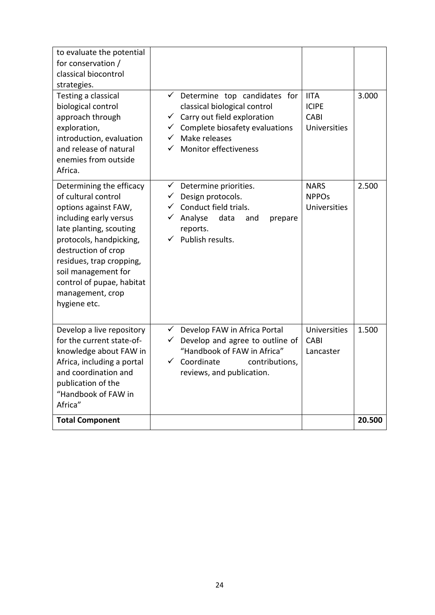| to evaluate the potential<br>for conservation /<br>classical biocontrol<br>strategies.<br>Testing a classical                                                                                                                                                                                      | Determine top candidates for<br>$\checkmark$                                                                                                                                                       | <b>IITA</b>                                     | 3.000  |
|----------------------------------------------------------------------------------------------------------------------------------------------------------------------------------------------------------------------------------------------------------------------------------------------------|----------------------------------------------------------------------------------------------------------------------------------------------------------------------------------------------------|-------------------------------------------------|--------|
| biological control<br>approach through<br>exploration,<br>introduction, evaluation<br>and release of natural<br>enemies from outside<br>Africa.                                                                                                                                                    | classical biological control<br>Carry out field exploration<br>$\checkmark$<br>Complete biosafety evaluations<br>✓<br>Make releases<br>✓<br>Monitor effectiveness<br>✓                             | <b>ICIPE</b><br><b>CABI</b><br>Universities     |        |
| Determining the efficacy<br>of cultural control<br>options against FAW,<br>including early versus<br>late planting, scouting<br>protocols, handpicking,<br>destruction of crop<br>residues, trap cropping,<br>soil management for<br>control of pupae, habitat<br>management, crop<br>hygiene etc. | $\checkmark$<br>Determine priorities.<br>Design protocols.<br>$\checkmark$<br>Conduct field trials.<br>✓<br>$\checkmark$<br>Analyse<br>data<br>and<br>prepare<br>reports.<br>Publish results.<br>✓ | <b>NARS</b><br><b>NPPOs</b><br>Universities     | 2.500  |
| Develop a live repository<br>for the current state-of-<br>knowledge about FAW in<br>Africa, including a portal<br>and coordination and<br>publication of the<br>"Handbook of FAW in<br>Africa"                                                                                                     | $\checkmark$<br>Develop FAW in Africa Portal<br>Develop and agree to outline of<br>✓<br>"Handbook of FAW in Africa"<br>Coordinate<br>✓<br>contributions,<br>reviews, and publication.              | <b>Universities</b><br><b>CABI</b><br>Lancaster | 1.500  |
| <b>Total Component</b>                                                                                                                                                                                                                                                                             |                                                                                                                                                                                                    |                                                 | 20.500 |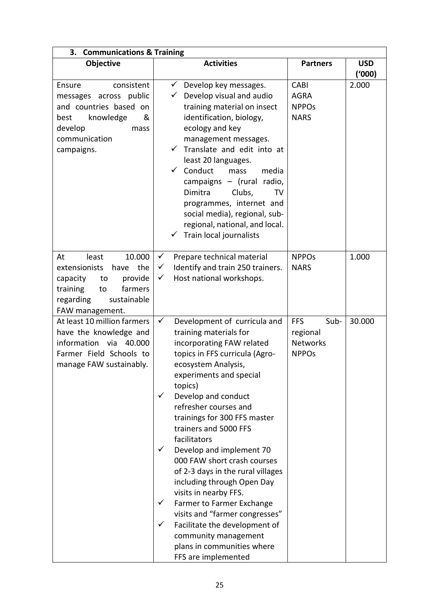| <b>Communications &amp; Training</b><br>3.                                                                                                                     |                                                                                                                                                                                                                                                                                                                                                                                                                                                                                                                                                                                                                                                                                                                                 |                                                                   |                      |  |
|----------------------------------------------------------------------------------------------------------------------------------------------------------------|---------------------------------------------------------------------------------------------------------------------------------------------------------------------------------------------------------------------------------------------------------------------------------------------------------------------------------------------------------------------------------------------------------------------------------------------------------------------------------------------------------------------------------------------------------------------------------------------------------------------------------------------------------------------------------------------------------------------------------|-------------------------------------------------------------------|----------------------|--|
| Objective                                                                                                                                                      | <b>Activities</b>                                                                                                                                                                                                                                                                                                                                                                                                                                                                                                                                                                                                                                                                                                               | <b>Partners</b>                                                   | <b>USD</b><br>(1000) |  |
| consistent<br>Ensure<br>public<br>messages across<br>and countries based on<br>knowledge<br>&<br>best<br>develop<br>mass<br>communication<br>campaigns.        | $\checkmark$<br>Develop key messages.<br>Develop visual and audio<br>✓<br>training material on insect<br>identification, biology,<br>ecology and key<br>management messages.<br>Translate and edit into at<br>✓<br>least 20 languages.<br>Conduct<br>✓<br>media<br>mass<br>campaigns - (rural radio,<br>Dimitra<br>Clubs,<br>TV<br>programmes, internet and<br>social media), regional, sub-<br>regional, national, and local.<br>Train local journalists                                                                                                                                                                                                                                                                       | <b>CABI</b><br><b>AGRA</b><br><b>NPPOs</b><br><b>NARS</b>         | 2.000                |  |
| 10.000<br>least<br>At<br>extensionists<br>the<br>have<br>capacity<br>provide<br>to<br>training<br>farmers<br>to<br>regarding<br>sustainable<br>FAW management. | $\checkmark$<br>Prepare technical material<br>$\checkmark$<br>Identify and train 250 trainers.<br>Host national workshops.<br>$\checkmark$                                                                                                                                                                                                                                                                                                                                                                                                                                                                                                                                                                                      | <b>NPPOs</b><br><b>NARS</b>                                       | 1.000                |  |
| At least 10 million farmers<br>have the knowledge and<br>information via 40.000<br>Farmer Field Schools to<br>manage FAW sustainably.                          | $\checkmark$<br>Development of curricula and<br>training materials for<br>incorporating FAW related<br>topics in FFS curricula (Agro-<br>ecosystem Analysis,<br>experiments and special<br>topics)<br>$\checkmark$<br>Develop and conduct<br>refresher courses and<br>trainings for 300 FFS master<br>trainers and 5000 FFS<br>facilitators<br>$\checkmark$<br>Develop and implement 70<br>000 FAW short crash courses<br>of 2-3 days in the rural villages<br>including through Open Day<br>visits in nearby FFS.<br>$\checkmark$<br>Farmer to Farmer Exchange<br>visits and "farmer congresses"<br>$\checkmark$<br>Facilitate the development of<br>community management<br>plans in communities where<br>FFS are implemented | <b>FFS</b><br>Sub-<br>regional<br><b>Networks</b><br><b>NPPOs</b> | 30.000               |  |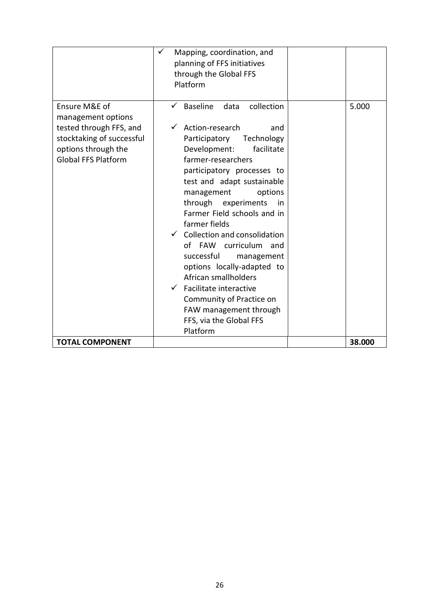|                                                                                                                                                  | ✓<br>Mapping, coordination, and<br>planning of FFS initiatives<br>through the Global FFS<br>Platform                                                                                                                                                                                                                                                                                                                                                                                                                                                                                               |        |
|--------------------------------------------------------------------------------------------------------------------------------------------------|----------------------------------------------------------------------------------------------------------------------------------------------------------------------------------------------------------------------------------------------------------------------------------------------------------------------------------------------------------------------------------------------------------------------------------------------------------------------------------------------------------------------------------------------------------------------------------------------------|--------|
| Ensure M&E of<br>management options<br>tested through FFS, and<br>stocktaking of successful<br>options through the<br><b>Global FFS Platform</b> | Baseline<br>collection<br>data<br>Action-research<br>and<br>Technology<br>Participatory<br>facilitate<br>Development:<br>farmer-researchers<br>participatory processes to<br>test and adapt sustainable<br>management<br>options<br>through experiments<br>in<br>Farmer Field schools and in<br>farmer fields<br>$\checkmark$ Collection and consolidation<br>FAW curriculum<br>of<br>and<br>successful<br>management<br>options locally-adapted to<br>African smallholders<br>Facilitate interactive<br>Community of Practice on<br>FAW management through<br>FFS, via the Global FFS<br>Platform | 5.000  |
| <b>TOTAL COMPONENT</b>                                                                                                                           |                                                                                                                                                                                                                                                                                                                                                                                                                                                                                                                                                                                                    | 38.000 |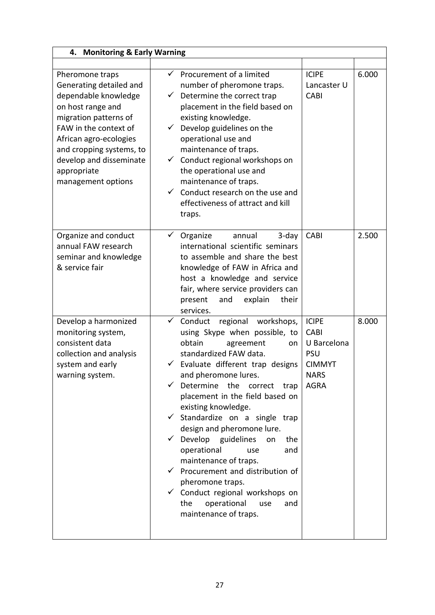| <b>Monitoring &amp; Early Warning</b><br>4.                                                                                                                                                                                                                     |                                                                                                                                                                                                                                                                                                                                                                                                                                                                                                                                                                                     |                                                                                                                                                                                                  |       |
|-----------------------------------------------------------------------------------------------------------------------------------------------------------------------------------------------------------------------------------------------------------------|-------------------------------------------------------------------------------------------------------------------------------------------------------------------------------------------------------------------------------------------------------------------------------------------------------------------------------------------------------------------------------------------------------------------------------------------------------------------------------------------------------------------------------------------------------------------------------------|--------------------------------------------------------------------------------------------------------------------------------------------------------------------------------------------------|-------|
| Pheromone traps<br>Generating detailed and<br>dependable knowledge<br>on host range and<br>migration patterns of<br>FAW in the context of<br>African agro-ecologies<br>and cropping systems, to<br>develop and disseminate<br>appropriate<br>management options | ✓<br>Procurement of a limited<br>number of pheromone traps.<br>Determine the correct trap<br>✓<br>placement in the field based on<br>existing knowledge.<br>Develop guidelines on the<br>$\checkmark$<br>operational use and<br>maintenance of traps.<br>Conduct regional workshops on<br>$\checkmark$<br>the operational use and<br>maintenance of traps.<br>Conduct research on the use and<br>✓<br>effectiveness of attract and kill<br>traps.                                                                                                                                   | <b>ICIPE</b><br>Lancaster U<br><b>CABI</b>                                                                                                                                                       | 6.000 |
| Organize and conduct<br>annual FAW research<br>seminar and knowledge<br>& service fair                                                                                                                                                                          | $\checkmark$<br>Organize<br>annual<br>international scientific seminars<br>to assemble and share the best<br>knowledge of FAW in Africa and<br>host a knowledge and service<br>fair, where service providers can<br>present<br>and<br>services.                                                                                                                                                                                                                                                                                                                                     | <b>CABI</b><br>$3$ -day<br>explain<br>their                                                                                                                                                      | 2.500 |
| Develop a harmonized<br>monitoring system,<br>consistent data<br>collection and analysis<br>system and early<br>warning system.                                                                                                                                 | $\checkmark$<br>Conduct<br>using Skype when possible, to<br>obtain<br>agreement<br>standardized FAW data.<br>Evaluate different trap designs<br>✓<br>and pheromone lures.<br>Determine<br>the<br>✓<br>placement in the field based on<br>existing knowledge.<br>$\checkmark$ Standardize on a single trap<br>design and pheromone lure.<br>$\checkmark$ Develop guidelines<br>operational<br>maintenance of traps.<br>$\checkmark$ Procurement and distribution of<br>pheromone traps.<br>$\checkmark$ Conduct regional workshops on<br>operational<br>the<br>maintenance of traps. | <b>ICIPE</b><br>regional workshops,<br><b>CABI</b><br>U Barcelona<br>on<br><b>PSU</b><br><b>CIMMYT</b><br><b>NARS</b><br><b>AGRA</b><br>correct<br>trap<br>the<br>on<br>and<br>use<br>use<br>and | 8.000 |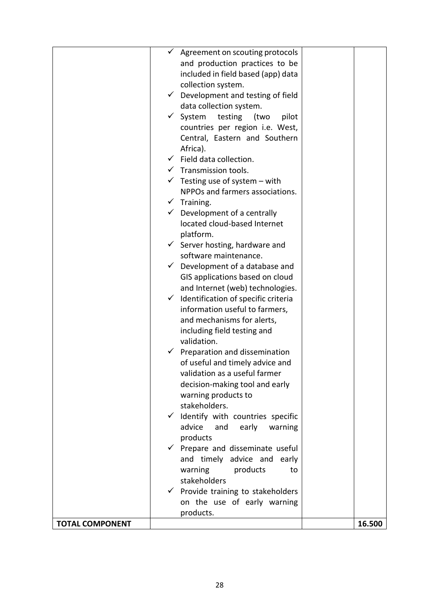|                        |              | $\checkmark$ Agreement on scouting protocols    |        |
|------------------------|--------------|-------------------------------------------------|--------|
|                        |              | and production practices to be                  |        |
|                        |              | included in field based (app) data              |        |
|                        |              | collection system.                              |        |
|                        |              | $\checkmark$ Development and testing of field   |        |
|                        |              | data collection system.                         |        |
|                        |              | $\checkmark$ System<br>testing<br>(two<br>pilot |        |
|                        |              | countries per region i.e. West,                 |        |
|                        |              | Central, Eastern and Southern                   |        |
|                        |              | Africa).                                        |        |
|                        | $\checkmark$ | Field data collection.                          |        |
|                        |              | $\checkmark$ Transmission tools.                |        |
|                        |              | $\checkmark$ Testing use of system – with       |        |
|                        |              | NPPOs and farmers associations.                 |        |
|                        |              | $\checkmark$ Training.                          |        |
|                        | $\checkmark$ | Development of a centrally                      |        |
|                        |              | located cloud-based Internet                    |        |
|                        |              | platform.                                       |        |
|                        |              | $\checkmark$ Server hosting, hardware and       |        |
|                        |              | software maintenance.                           |        |
|                        | $\checkmark$ | Development of a database and                   |        |
|                        |              | GIS applications based on cloud                 |        |
|                        |              | and Internet (web) technologies.                |        |
|                        | $\checkmark$ | Identification of specific criteria             |        |
|                        |              | information useful to farmers,                  |        |
|                        |              | and mechanisms for alerts,                      |        |
|                        |              | including field testing and                     |        |
|                        |              | validation.                                     |        |
|                        |              | Preparation and dissemination                   |        |
|                        |              | of useful and timely advice and                 |        |
|                        |              | validation as a useful farmer                   |        |
|                        |              | decision-making tool and early                  |        |
|                        |              | warning products to                             |        |
|                        |              | stakeholders.                                   |        |
|                        |              | $\checkmark$ Identify with countries specific   |        |
|                        |              | advice<br>early<br>and<br>warning               |        |
|                        |              | products                                        |        |
|                        |              | Prepare and disseminate useful                  |        |
|                        |              | and timely advice and early                     |        |
|                        |              | warning<br>products<br>to                       |        |
|                        |              | stakeholders                                    |        |
|                        |              | $\checkmark$ Provide training to stakeholders   |        |
|                        |              | on the use of early warning                     |        |
|                        |              | products.                                       |        |
| <b>TOTAL COMPONENT</b> |              |                                                 | 16.500 |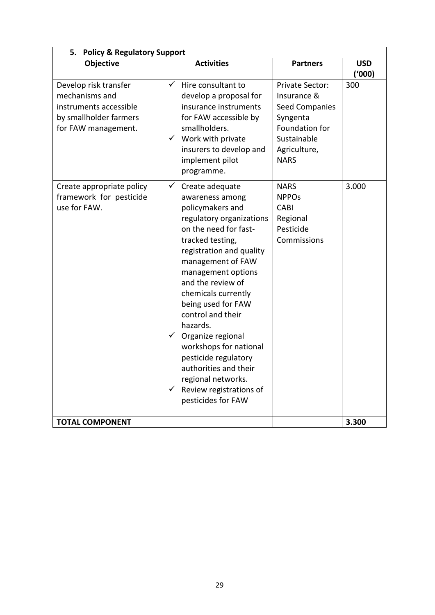| 5. Policy & Regulatory Support                                                                                     |                                                                                                                                                                                                                                                                                                                                                                                                                                                                                                                                  |                                                                                                                                            |                      |
|--------------------------------------------------------------------------------------------------------------------|----------------------------------------------------------------------------------------------------------------------------------------------------------------------------------------------------------------------------------------------------------------------------------------------------------------------------------------------------------------------------------------------------------------------------------------------------------------------------------------------------------------------------------|--------------------------------------------------------------------------------------------------------------------------------------------|----------------------|
| Objective                                                                                                          | <b>Activities</b>                                                                                                                                                                                                                                                                                                                                                                                                                                                                                                                | <b>Partners</b>                                                                                                                            | <b>USD</b><br>(1000) |
| Develop risk transfer<br>mechanisms and<br>instruments accessible<br>by smallholder farmers<br>for FAW management. | $\checkmark$<br>Hire consultant to<br>develop a proposal for<br>insurance instruments<br>for FAW accessible by<br>smallholders.<br>$\checkmark$ Work with private<br>insurers to develop and<br>implement pilot<br>programme.                                                                                                                                                                                                                                                                                                    | <b>Private Sector:</b><br>Insurance &<br><b>Seed Companies</b><br>Syngenta<br>Foundation for<br>Sustainable<br>Agriculture,<br><b>NARS</b> | 300                  |
| Create appropriate policy<br>framework for pesticide<br>use for FAW.                                               | $\checkmark$<br>Create adequate<br>awareness among<br>policymakers and<br>regulatory organizations<br>on the need for fast-<br>tracked testing,<br>registration and quality<br>management of FAW<br>management options<br>and the review of<br>chemicals currently<br>being used for FAW<br>control and their<br>hazards.<br>$\checkmark$<br>Organize regional<br>workshops for national<br>pesticide regulatory<br>authorities and their<br>regional networks.<br>$\checkmark$<br>Review registrations of<br>pesticides for FAW | <b>NARS</b><br><b>NPPOs</b><br><b>CABI</b><br>Regional<br>Pesticide<br>Commissions                                                         | 3.000                |
| <b>TOTAL COMPONENT</b>                                                                                             |                                                                                                                                                                                                                                                                                                                                                                                                                                                                                                                                  |                                                                                                                                            | 3.300                |